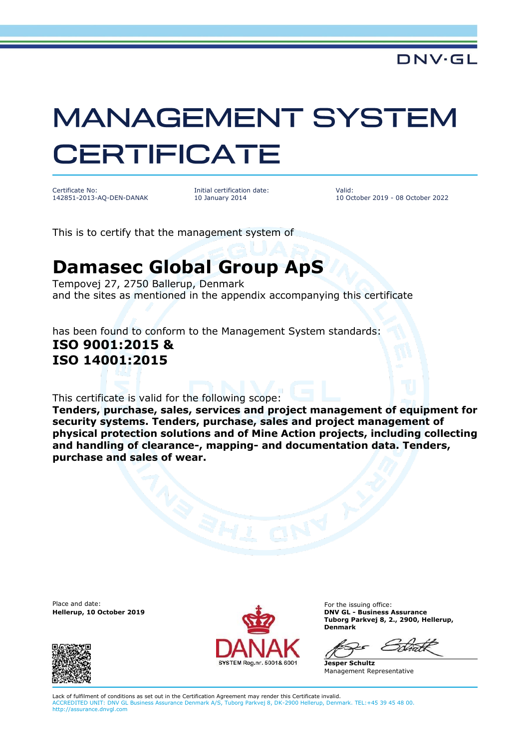## **MANAGEMENT SYSTEM CERTIFICATE**

Certificate No: 142851-2013-AQ-DEN-DANAK Initial certification date: 10 January 2014

Valid: 10 October 2019 - 08 October 2022

This is to certify that the management system of

## **Damasec Global Group ApS**

Tempovej 27, 2750 Ballerup, Denmark and the sites as mentioned in the appendix accompanying this certificate

has been found to conform to the Management System standards: **ISO 9001:2015 & ISO 14001:2015**

This certificate is valid for the following scope:

**Tenders, purchase, sales, services and project management of equipment for security systems. Tenders, purchase, sales and project management of physical protection solutions and of Mine Action projects, including collecting and handling of clearance-, mapping- and documentation data. Tenders, purchase and sales of wear.**

Place and date:





For the issuing office: **Hellerup, 10 October 2019 DNV GL - Business Assurance Tuborg Parkvej 8, 2., 2900, Hellerup, Denmark**

**Jesper Schultz** Management Representative

Lack of fulfilment of conditions as set out in the Certification Agreement may render this Certificate invalid. ACCREDITED UNIT: DNV GL Business Assurance Denmark A/S, Tuborg Parkvej 8, DK-2900 Hellerup, Denmark. TEL:+45 39 45 48 00. http://assurance.dnvgl.com